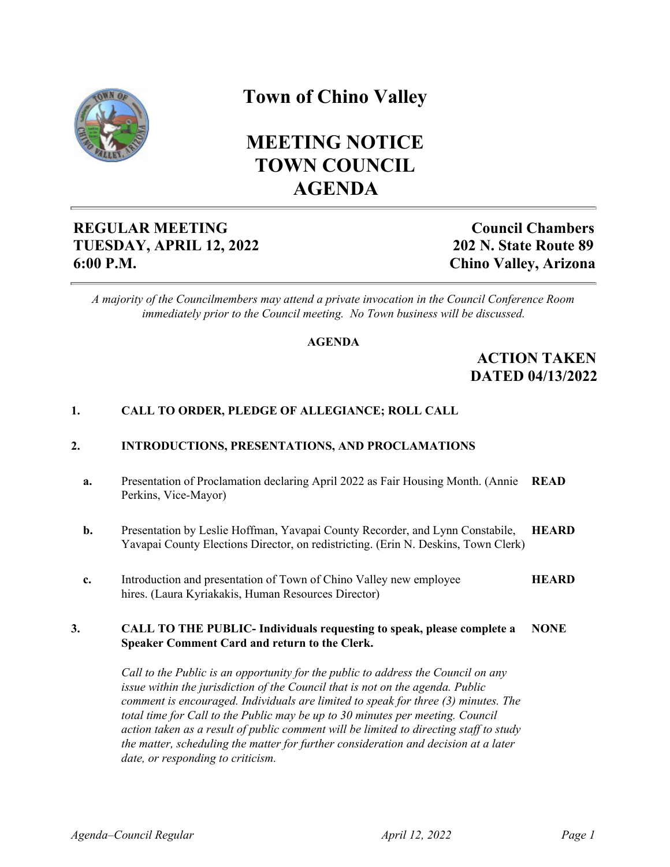

# **Town of Chino Valley**

# **MEETING NOTICE TOWN COUNCIL AGENDA**

## **REGULAR MEETING TUESDAY, APRIL 12, 2022 6:00 P.M.**

**Council Chambers 202 N. State Route 89 Chino Valley, Arizona**

*A majority of the Councilmembers may attend a private invocation in the Council Conference Room immediately prior to the Council meeting. No Town business will be discussed.*

## **AGENDA**

## **ACTION TAKEN DATED 04/13/2022**

## **1. CALL TO ORDER, PLEDGE OF ALLEGIANCE; ROLL CALL**

## **2. INTRODUCTIONS, PRESENTATIONS, AND PROCLAMATIONS**

- **a.** Presentation of Proclamation declaring April 2022 as Fair Housing Month. (Annie **READ** Perkins, Vice-Mayor)
- **b.** Presentation by Leslie Hoffman, Yavapai County Recorder, and Lynn Constabile, Yavapai County Elections Director, on redistricting. (Erin N. Deskins, Town Clerk) **HEARD**
- **c.** Introduction and presentation of Town of Chino Valley new employee hires. (Laura Kyriakakis, Human Resources Director) **HEARD**

#### **3. CALL TO THE PUBLIC- Individuals requesting to speak, please complete a Speaker Comment Card and return to the Clerk. NONE**

*Call to the Public is an opportunity for the public to address the Council on any issue within the jurisdiction of the Council that is not on the agenda. Public comment is encouraged. Individuals are limited to speak for three (3) minutes. The total time for Call to the Public may be up to 30 minutes per meeting. Council action taken as a result of public comment will be limited to directing staff to study the matter, scheduling the matter for further consideration and decision at a later date, or responding to criticism.*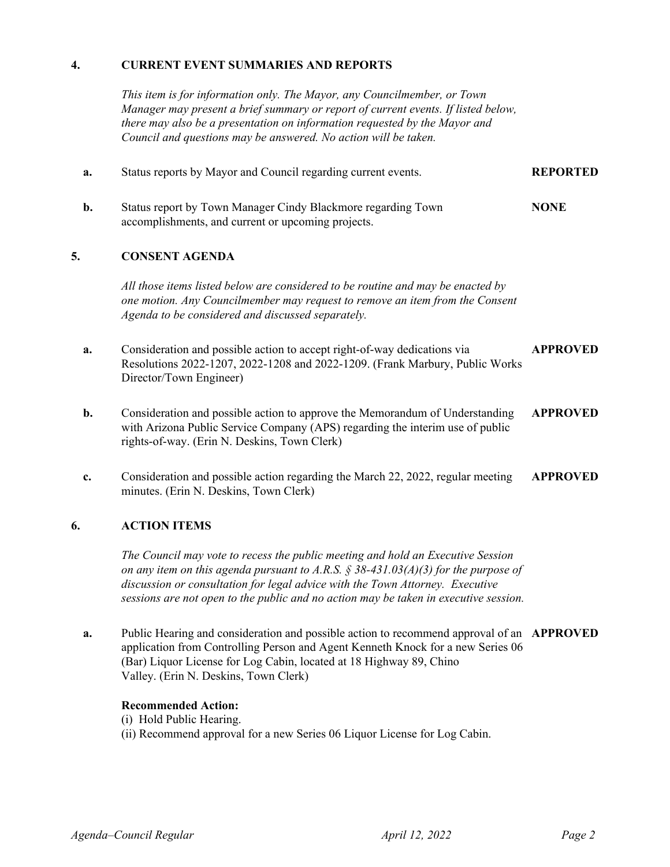## **4. CURRENT EVENT SUMMARIES AND REPORTS**

*This item is for information only. The Mayor, any Councilmember, or Town Manager may present a brief summary or report of current events. If listed below, there may also be a presentation on information requested by the Mayor and Council and questions may be answered. No action will be taken.*

| a. | Status reports by Mayor and Council regarding current events.                                                                                                                                                        | <b>REPORTED</b> |
|----|----------------------------------------------------------------------------------------------------------------------------------------------------------------------------------------------------------------------|-----------------|
| b. | Status report by Town Manager Cindy Blackmore regarding Town<br>accomplishments, and current or upcoming projects.                                                                                                   | <b>NONE</b>     |
| 5. | <b>CONSENT AGENDA</b>                                                                                                                                                                                                |                 |
|    | All those items listed below are considered to be routine and may be enacted by<br>one motion. Any Councilmember may request to remove an item from the Consent<br>Agenda to be considered and discussed separately. |                 |
| a. | Consideration and possible action to accept right-of-way dedications via<br>Resolutions 2022-1207, 2022-1208 and 2022-1209. (Frank Marbury, Public Works<br>Director/Town Engineer)                                  | <b>APPROVED</b> |
| b. | Consideration and possible action to approve the Memorandum of Understanding<br>with Arizona Public Service Company (APS) regarding the interim use of public<br>rights-of-way. (Erin N. Deskins, Town Clerk)        | <b>APPROVED</b> |
| c. | Consideration and possible action regarding the March 22, 2022, regular meeting<br>minutes. (Erin N. Deskins, Town Clerk)                                                                                            | <b>APPROVED</b> |

## **6. ACTION ITEMS**

*The Council may vote to recess the public meeting and hold an Executive Session on any item on this agenda pursuant to A.R.S. § 38-431.03(A)(3) for the purpose of discussion or consultation for legal advice with the Town Attorney. Executive sessions are not open to the public and no action may be taken in executive session.*

**a.** Public Hearing and consideration and possible action to recommend approval of an **APPROVED** application from Controlling Person and Agent Kenneth Knock for a new Series 06 (Bar) Liquor License for Log Cabin, located at 18 Highway 89, Chino Valley. (Erin N. Deskins, Town Clerk)

## **Recommended Action:**

(i) Hold Public Hearing.

(ii) Recommend approval for a new Series 06 Liquor License for Log Cabin.